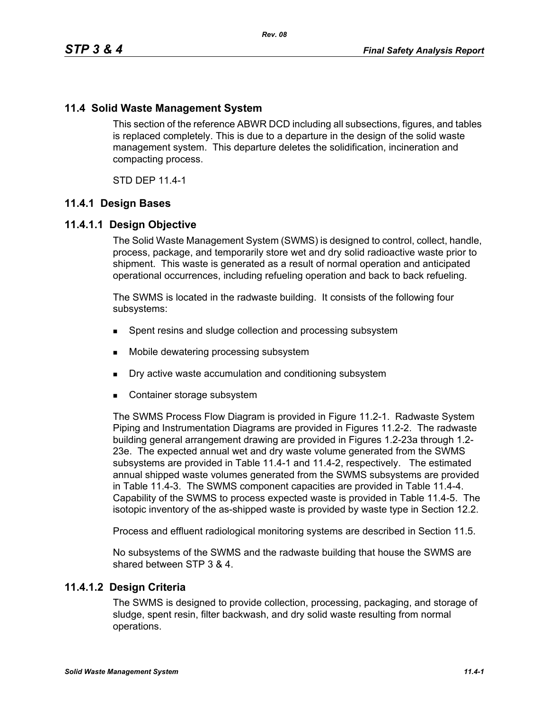## **11.4 Solid Waste Management System**

This section of the reference ABWR DCD including all subsections, figures, and tables is replaced completely. This is due to a departure in the design of the solid waste management system. This departure deletes the solidification, incineration and compacting process.

STD DEP 11.4-1

### **11.4.1 Design Bases**

### **11.4.1.1 Design Objective**

The Solid Waste Management System (SWMS) is designed to control, collect, handle, process, package, and temporarily store wet and dry solid radioactive waste prior to shipment. This waste is generated as a result of normal operation and anticipated operational occurrences, including refueling operation and back to back refueling.

The SWMS is located in the radwaste building. It consists of the following four subsystems:

- **Spent resins and sludge collection and processing subsystem**
- Mobile dewatering processing subsystem
- Dry active waste accumulation and conditioning subsystem
- Container storage subsystem

The SWMS Process Flow Diagram is provided in Figure 11.2-1. Radwaste System Piping and Instrumentation Diagrams are provided in Figures 11.2-2. The radwaste building general arrangement drawing are provided in Figures 1.2-23a through 1.2- 23e. The expected annual wet and dry waste volume generated from the SWMS subsystems are provided in Table 11.4-1 and 11.4-2, respectively. The estimated annual shipped waste volumes generated from the SWMS subsystems are provided in Table 11.4-3. The SWMS component capacities are provided in Table 11.4-4. Capability of the SWMS to process expected waste is provided in Table 11.4-5. The isotopic inventory of the as-shipped waste is provided by waste type in Section 12.2.

Process and effluent radiological monitoring systems are described in Section 11.5.

No subsystems of the SWMS and the radwaste building that house the SWMS are shared between STP 3 & 4.

### **11.4.1.2 Design Criteria**

The SWMS is designed to provide collection, processing, packaging, and storage of sludge, spent resin, filter backwash, and dry solid waste resulting from normal operations.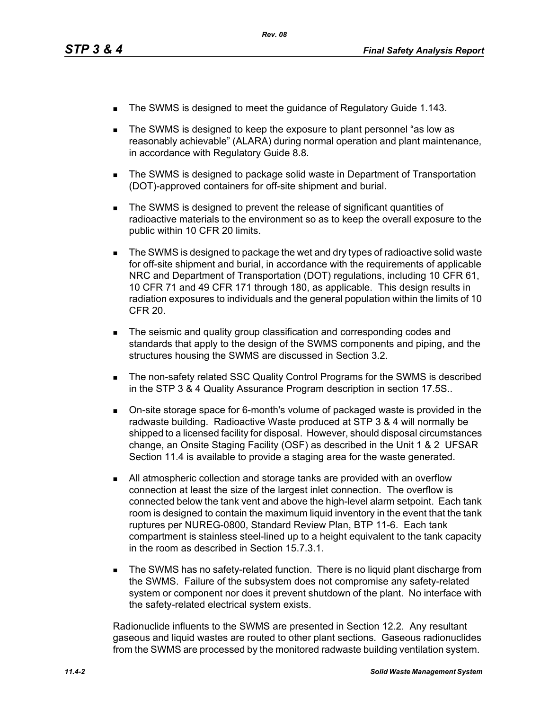- The SWMS is designed to meet the guidance of Regulatory Guide 1.143.
- The SWMS is designed to keep the exposure to plant personnel "as low as reasonably achievable" (ALARA) during normal operation and plant maintenance, in accordance with Regulatory Guide 8.8.
- The SWMS is designed to package solid waste in Department of Transportation (DOT)-approved containers for off-site shipment and burial.
- The SWMS is designed to prevent the release of significant quantities of radioactive materials to the environment so as to keep the overall exposure to the public within 10 CFR 20 limits.
- The SWMS is designed to package the wet and dry types of radioactive solid waste for off-site shipment and burial, in accordance with the requirements of applicable NRC and Department of Transportation (DOT) regulations, including 10 CFR 61, 10 CFR 71 and 49 CFR 171 through 180, as applicable. This design results in radiation exposures to individuals and the general population within the limits of 10 CFR 20.
- The seismic and quality group classification and corresponding codes and standards that apply to the design of the SWMS components and piping, and the structures housing the SWMS are discussed in Section 3.2.
- **The non-safety related SSC Quality Control Programs for the SWMS is described** in the STP 3 & 4 Quality Assurance Program description in section 17.5S..
- On-site storage space for 6-month's volume of packaged waste is provided in the radwaste building. Radioactive Waste produced at STP 3 & 4 will normally be shipped to a licensed facility for disposal. However, should disposal circumstances change, an Onsite Staging Facility (OSF) as described in the Unit 1 & 2 UFSAR Section 11.4 is available to provide a staging area for the waste generated.
- All atmospheric collection and storage tanks are provided with an overflow connection at least the size of the largest inlet connection. The overflow is connected below the tank vent and above the high-level alarm setpoint. Each tank room is designed to contain the maximum liquid inventory in the event that the tank ruptures per NUREG-0800, Standard Review Plan, BTP 11-6. Each tank compartment is stainless steel-lined up to a height equivalent to the tank capacity in the room as described in Section 15.7.3.1.
- **The SWMS has no safety-related function. There is no liquid plant discharge from** the SWMS. Failure of the subsystem does not compromise any safety-related system or component nor does it prevent shutdown of the plant. No interface with the safety-related electrical system exists.

Radionuclide influents to the SWMS are presented in Section 12.2. Any resultant gaseous and liquid wastes are routed to other plant sections. Gaseous radionuclides from the SWMS are processed by the monitored radwaste building ventilation system.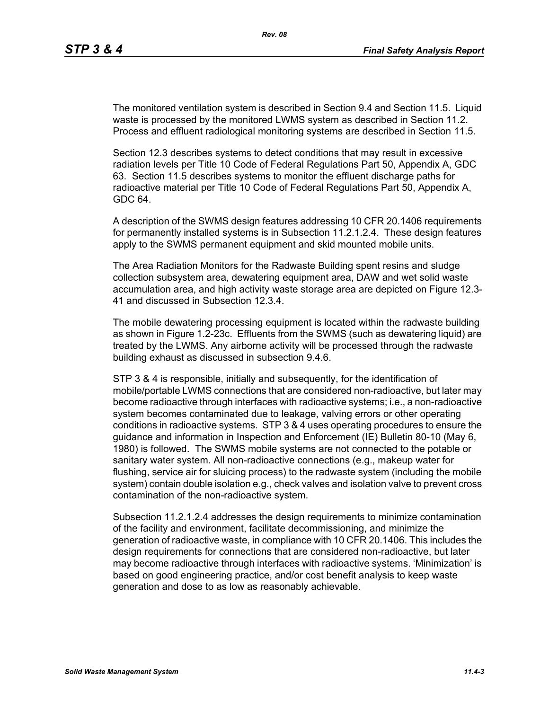The monitored ventilation system is described in Section 9.4 and Section 11.5. Liquid waste is processed by the monitored LWMS system as described in Section 11.2. Process and effluent radiological monitoring systems are described in Section 11.5.

Section 12.3 describes systems to detect conditions that may result in excessive radiation levels per Title 10 Code of Federal Regulations Part 50, Appendix A, GDC 63. Section 11.5 describes systems to monitor the effluent discharge paths for radioactive material per Title 10 Code of Federal Regulations Part 50, Appendix A, GDC 64.

A description of the SWMS design features addressing 10 CFR 20.1406 requirements for permanently installed systems is in Subsection 11.2.1.2.4. These design features apply to the SWMS permanent equipment and skid mounted mobile units.

The Area Radiation Monitors for the Radwaste Building spent resins and sludge collection subsystem area, dewatering equipment area, DAW and wet solid waste accumulation area, and high activity waste storage area are depicted on Figure 12.3- 41 and discussed in Subsection 12.3.4.

The mobile dewatering processing equipment is located within the radwaste building as shown in Figure 1.2-23c. Effluents from the SWMS (such as dewatering liquid) are treated by the LWMS. Any airborne activity will be processed through the radwaste building exhaust as discussed in subsection 9.4.6.

STP 3 & 4 is responsible, initially and subsequently, for the identification of mobile/portable LWMS connections that are considered non-radioactive, but later may become radioactive through interfaces with radioactive systems; i.e., a non-radioactive system becomes contaminated due to leakage, valving errors or other operating conditions in radioactive systems. STP 3 & 4 uses operating procedures to ensure the guidance and information in Inspection and Enforcement (IE) Bulletin 80-10 (May 6, 1980) is followed. The SWMS mobile systems are not connected to the potable or sanitary water system. All non-radioactive connections (e.g., makeup water for flushing, service air for sluicing process) to the radwaste system (including the mobile system) contain double isolation e.g., check valves and isolation valve to prevent cross contamination of the non-radioactive system.

Subsection 11.2.1.2.4 addresses the design requirements to minimize contamination of the facility and environment, facilitate decommissioning, and minimize the generation of radioactive waste, in compliance with 10 CFR 20.1406. This includes the design requirements for connections that are considered non-radioactive, but later may become radioactive through interfaces with radioactive systems. 'Minimization' is based on good engineering practice, and/or cost benefit analysis to keep waste generation and dose to as low as reasonably achievable.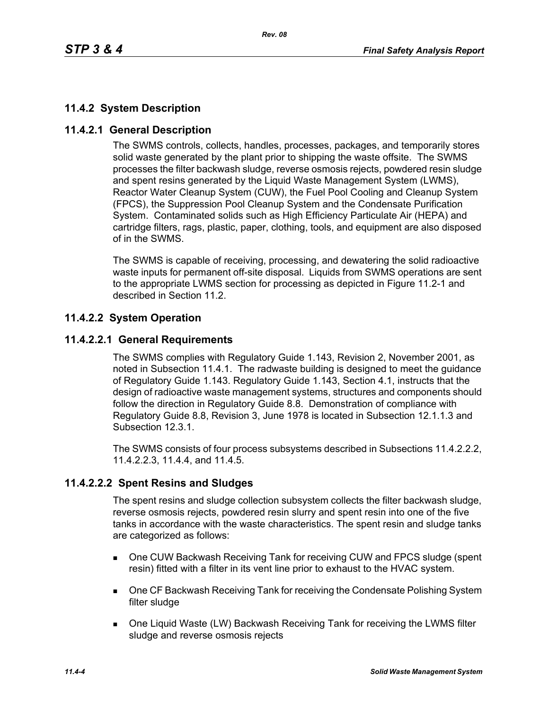# **11.4.2 System Description**

# **11.4.2.1 General Description**

The SWMS controls, collects, handles, processes, packages, and temporarily stores solid waste generated by the plant prior to shipping the waste offsite. The SWMS processes the filter backwash sludge, reverse osmosis rejects, powdered resin sludge and spent resins generated by the Liquid Waste Management System (LWMS), Reactor Water Cleanup System (CUW), the Fuel Pool Cooling and Cleanup System (FPCS), the Suppression Pool Cleanup System and the Condensate Purification System. Contaminated solids such as High Efficiency Particulate Air (HEPA) and cartridge filters, rags, plastic, paper, clothing, tools, and equipment are also disposed of in the SWMS.

The SWMS is capable of receiving, processing, and dewatering the solid radioactive waste inputs for permanent off-site disposal. Liquids from SWMS operations are sent to the appropriate LWMS section for processing as depicted in Figure 11.2-1 and described in Section 11.2.

# **11.4.2.2 System Operation**

# **11.4.2.2.1 General Requirements**

The SWMS complies with Regulatory Guide 1.143, Revision 2, November 2001, as noted in Subsection 11.4.1. The radwaste building is designed to meet the guidance of Regulatory Guide 1.143. Regulatory Guide 1.143, Section 4.1, instructs that the design of radioactive waste management systems, structures and components should follow the direction in Regulatory Guide 8.8. Demonstration of compliance with Regulatory Guide 8.8, Revision 3, June 1978 is located in Subsection 12.1.1.3 and Subsection 12.3.1.

The SWMS consists of four process subsystems described in Subsections 11.4.2.2.2, 11.4.2.2.3, 11.4.4, and 11.4.5.

# **11.4.2.2.2 Spent Resins and Sludges**

The spent resins and sludge collection subsystem collects the filter backwash sludge, reverse osmosis rejects, powdered resin slurry and spent resin into one of the five tanks in accordance with the waste characteristics. The spent resin and sludge tanks are categorized as follows:

- One CUW Backwash Receiving Tank for receiving CUW and FPCS sludge (spent resin) fitted with a filter in its vent line prior to exhaust to the HVAC system.
- **DIE CF Backwash Receiving Tank for receiving the Condensate Polishing System** filter sludge
- One Liquid Waste (LW) Backwash Receiving Tank for receiving the LWMS filter sludge and reverse osmosis rejects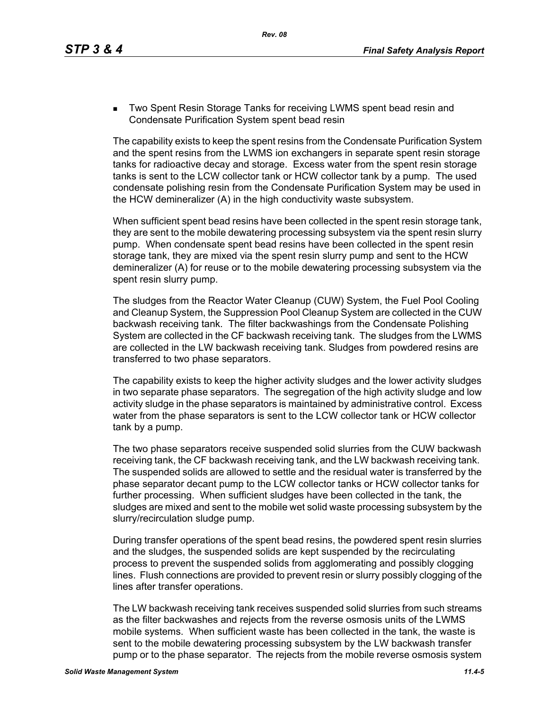**Two Spent Resin Storage Tanks for receiving LWMS spent bead resin and** Condensate Purification System spent bead resin

The capability exists to keep the spent resins from the Condensate Purification System and the spent resins from the LWMS ion exchangers in separate spent resin storage tanks for radioactive decay and storage. Excess water from the spent resin storage tanks is sent to the LCW collector tank or HCW collector tank by a pump. The used condensate polishing resin from the Condensate Purification System may be used in the HCW demineralizer (A) in the high conductivity waste subsystem.

When sufficient spent bead resins have been collected in the spent resin storage tank, they are sent to the mobile dewatering processing subsystem via the spent resin slurry pump. When condensate spent bead resins have been collected in the spent resin storage tank, they are mixed via the spent resin slurry pump and sent to the HCW demineralizer (A) for reuse or to the mobile dewatering processing subsystem via the spent resin slurry pump.

The sludges from the Reactor Water Cleanup (CUW) System, the Fuel Pool Cooling and Cleanup System, the Suppression Pool Cleanup System are collected in the CUW backwash receiving tank. The filter backwashings from the Condensate Polishing System are collected in the CF backwash receiving tank. The sludges from the LWMS are collected in the LW backwash receiving tank. Sludges from powdered resins are transferred to two phase separators.

The capability exists to keep the higher activity sludges and the lower activity sludges in two separate phase separators. The segregation of the high activity sludge and low activity sludge in the phase separators is maintained by administrative control. Excess water from the phase separators is sent to the LCW collector tank or HCW collector tank by a pump.

The two phase separators receive suspended solid slurries from the CUW backwash receiving tank, the CF backwash receiving tank, and the LW backwash receiving tank. The suspended solids are allowed to settle and the residual water is transferred by the phase separator decant pump to the LCW collector tanks or HCW collector tanks for further processing. When sufficient sludges have been collected in the tank, the sludges are mixed and sent to the mobile wet solid waste processing subsystem by the slurry/recirculation sludge pump.

During transfer operations of the spent bead resins, the powdered spent resin slurries and the sludges, the suspended solids are kept suspended by the recirculating process to prevent the suspended solids from agglomerating and possibly clogging lines. Flush connections are provided to prevent resin or slurry possibly clogging of the lines after transfer operations.

The LW backwash receiving tank receives suspended solid slurries from such streams as the filter backwashes and rejects from the reverse osmosis units of the LWMS mobile systems. When sufficient waste has been collected in the tank, the waste is sent to the mobile dewatering processing subsystem by the LW backwash transfer pump or to the phase separator. The rejects from the mobile reverse osmosis system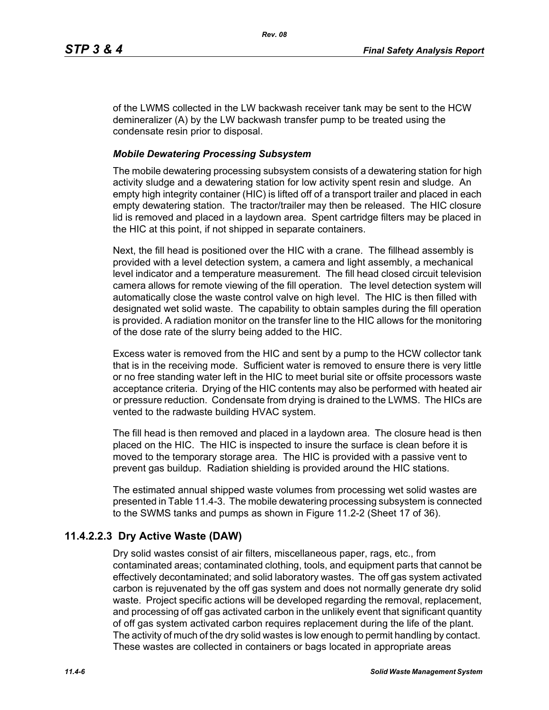of the LWMS collected in the LW backwash receiver tank may be sent to the HCW demineralizer (A) by the LW backwash transfer pump to be treated using the condensate resin prior to disposal.

## *Mobile Dewatering Processing Subsystem*

The mobile dewatering processing subsystem consists of a dewatering station for high activity sludge and a dewatering station for low activity spent resin and sludge. An empty high integrity container (HIC) is lifted off of a transport trailer and placed in each empty dewatering station. The tractor/trailer may then be released. The HIC closure lid is removed and placed in a laydown area. Spent cartridge filters may be placed in the HIC at this point, if not shipped in separate containers.

Next, the fill head is positioned over the HIC with a crane. The fillhead assembly is provided with a level detection system, a camera and light assembly, a mechanical level indicator and a temperature measurement. The fill head closed circuit television camera allows for remote viewing of the fill operation. The level detection system will automatically close the waste control valve on high level. The HIC is then filled with designated wet solid waste. The capability to obtain samples during the fill operation is provided. A radiation monitor on the transfer line to the HIC allows for the monitoring of the dose rate of the slurry being added to the HIC.

Excess water is removed from the HIC and sent by a pump to the HCW collector tank that is in the receiving mode. Sufficient water is removed to ensure there is very little or no free standing water left in the HIC to meet burial site or offsite processors waste acceptance criteria. Drying of the HIC contents may also be performed with heated air or pressure reduction. Condensate from drying is drained to the LWMS. The HICs are vented to the radwaste building HVAC system.

The fill head is then removed and placed in a laydown area. The closure head is then placed on the HIC. The HIC is inspected to insure the surface is clean before it is moved to the temporary storage area. The HIC is provided with a passive vent to prevent gas buildup. Radiation shielding is provided around the HIC stations.

The estimated annual shipped waste volumes from processing wet solid wastes are presented in Table 11.4-3. The mobile dewatering processing subsystem is connected to the SWMS tanks and pumps as shown in Figure 11.2-2 (Sheet 17 of 36).

# **11.4.2.2.3 Dry Active Waste (DAW)**

Dry solid wastes consist of air filters, miscellaneous paper, rags, etc., from contaminated areas; contaminated clothing, tools, and equipment parts that cannot be effectively decontaminated; and solid laboratory wastes. The off gas system activated carbon is rejuvenated by the off gas system and does not normally generate dry solid waste. Project specific actions will be developed regarding the removal, replacement, and processing of off gas activated carbon in the unlikely event that significant quantity of off gas system activated carbon requires replacement during the life of the plant. The activity of much of the dry solid wastes is low enough to permit handling by contact. These wastes are collected in containers or bags located in appropriate areas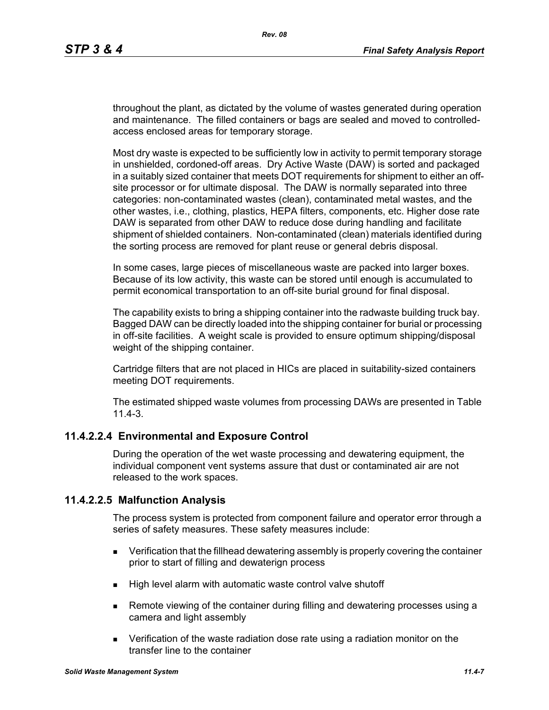throughout the plant, as dictated by the volume of wastes generated during operation and maintenance. The filled containers or bags are sealed and moved to controlledaccess enclosed areas for temporary storage.

Most dry waste is expected to be sufficiently low in activity to permit temporary storage in unshielded, cordoned-off areas. Dry Active Waste (DAW) is sorted and packaged in a suitably sized container that meets DOT requirements for shipment to either an offsite processor or for ultimate disposal. The DAW is normally separated into three categories: non-contaminated wastes (clean), contaminated metal wastes, and the other wastes, i.e., clothing, plastics, HEPA filters, components, etc. Higher dose rate DAW is separated from other DAW to reduce dose during handling and facilitate shipment of shielded containers. Non-contaminated (clean) materials identified during the sorting process are removed for plant reuse or general debris disposal.

In some cases, large pieces of miscellaneous waste are packed into larger boxes. Because of its low activity, this waste can be stored until enough is accumulated to permit economical transportation to an off-site burial ground for final disposal.

The capability exists to bring a shipping container into the radwaste building truck bay. Bagged DAW can be directly loaded into the shipping container for burial or processing in off-site facilities. A weight scale is provided to ensure optimum shipping/disposal weight of the shipping container.

Cartridge filters that are not placed in HICs are placed in suitability-sized containers meeting DOT requirements.

The estimated shipped waste volumes from processing DAWs are presented in Table 11.4-3.

# **11.4.2.2.4 Environmental and Exposure Control**

During the operation of the wet waste processing and dewatering equipment, the individual component vent systems assure that dust or contaminated air are not released to the work spaces.

### **11.4.2.2.5 Malfunction Analysis**

The process system is protected from component failure and operator error through a series of safety measures. These safety measures include:

- **EXECT** Verification that the fillhead dewatering assembly is properly covering the container prior to start of filling and dewaterign process
- $\blacksquare$  High level alarm with automatic waste control valve shutoff
- Remote viewing of the container during filling and dewatering processes using a camera and light assembly
- Verification of the waste radiation dose rate using a radiation monitor on the transfer line to the container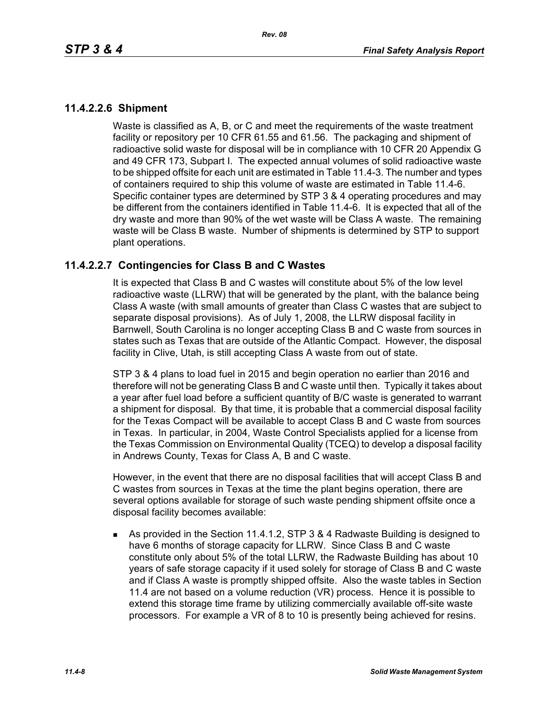## **11.4.2.2.6 Shipment**

Waste is classified as A, B, or C and meet the requirements of the waste treatment facility or repository per 10 CFR 61.55 and 61.56. The packaging and shipment of radioactive solid waste for disposal will be in compliance with 10 CFR 20 Appendix G and 49 CFR 173, Subpart I. The expected annual volumes of solid radioactive waste to be shipped offsite for each unit are estimated in Table 11.4-3. The number and types of containers required to ship this volume of waste are estimated in Table 11.4-6. Specific container types are determined by STP 3 & 4 operating procedures and may be different from the containers identified in Table 11.4-6. It is expected that all of the dry waste and more than 90% of the wet waste will be Class A waste. The remaining waste will be Class B waste. Number of shipments is determined by STP to support plant operations.

## **11.4.2.2.7 Contingencies for Class B and C Wastes**

It is expected that Class B and C wastes will constitute about 5% of the low level radioactive waste (LLRW) that will be generated by the plant, with the balance being Class A waste (with small amounts of greater than Class C wastes that are subject to separate disposal provisions). As of July 1, 2008, the LLRW disposal facility in Barnwell, South Carolina is no longer accepting Class B and C waste from sources in states such as Texas that are outside of the Atlantic Compact. However, the disposal facility in Clive, Utah, is still accepting Class A waste from out of state.

STP 3 & 4 plans to load fuel in 2015 and begin operation no earlier than 2016 and therefore will not be generating Class B and C waste until then. Typically it takes about a year after fuel load before a sufficient quantity of B/C waste is generated to warrant a shipment for disposal. By that time, it is probable that a commercial disposal facility for the Texas Compact will be available to accept Class B and C waste from sources in Texas. In particular, in 2004, Waste Control Specialists applied for a license from the Texas Commission on Environmental Quality (TCEQ) to develop a disposal facility in Andrews County, Texas for Class A, B and C waste.

However, in the event that there are no disposal facilities that will accept Class B and C wastes from sources in Texas at the time the plant begins operation, there are several options available for storage of such waste pending shipment offsite once a disposal facility becomes available:

 As provided in the Section 11.4.1.2, STP 3 & 4 Radwaste Building is designed to have 6 months of storage capacity for LLRW. Since Class B and C waste constitute only about 5% of the total LLRW, the Radwaste Building has about 10 years of safe storage capacity if it used solely for storage of Class B and C waste and if Class A waste is promptly shipped offsite. Also the waste tables in Section 11.4 are not based on a volume reduction (VR) process. Hence it is possible to extend this storage time frame by utilizing commercially available off-site waste processors. For example a VR of 8 to 10 is presently being achieved for resins.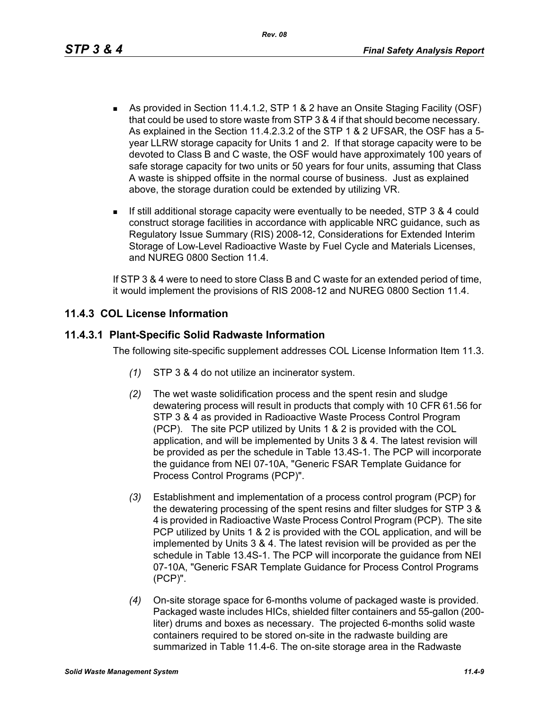- As provided in Section 11.4.1.2, STP 1 & 2 have an Onsite Staging Facility (OSF) that could be used to store waste from STP 3 & 4 if that should become necessary. As explained in the Section 11.4.2.3.2 of the STP 1 & 2 UFSAR, the OSF has a 5 year LLRW storage capacity for Units 1 and 2. If that storage capacity were to be devoted to Class B and C waste, the OSF would have approximately 100 years of safe storage capacity for two units or 50 years for four units, assuming that Class A waste is shipped offsite in the normal course of business. Just as explained above, the storage duration could be extended by utilizing VR.
- If still additional storage capacity were eventually to be needed, STP 3 & 4 could construct storage facilities in accordance with applicable NRC guidance, such as Regulatory Issue Summary (RIS) 2008-12, Considerations for Extended Interim Storage of Low-Level Radioactive Waste by Fuel Cycle and Materials Licenses, and NUREG 0800 Section 11.4.

If STP 3 & 4 were to need to store Class B and C waste for an extended period of time, it would implement the provisions of RIS 2008-12 and NUREG 0800 Section 11.4.

# **11.4.3 COL License Information**

## **11.4.3.1 Plant-Specific Solid Radwaste Information**

The following site-specific supplement addresses COL License Information Item 11.3.

- *(1)* STP 3 & 4 do not utilize an incinerator system.
- *(2)* The wet waste solidification process and the spent resin and sludge dewatering process will result in products that comply with 10 CFR 61.56 for STP 3 & 4 as provided in Radioactive Waste Process Control Program (PCP). The site PCP utilized by Units 1 & 2 is provided with the COL application, and will be implemented by Units 3 & 4. The latest revision will be provided as per the schedule in Table 13.4S-1. The PCP will incorporate the guidance from NEI 07-10A, "Generic FSAR Template Guidance for Process Control Programs (PCP)".
- *(3)* Establishment and implementation of a process control program (PCP) for the dewatering processing of the spent resins and filter sludges for STP 3 & 4 is provided in Radioactive Waste Process Control Program (PCP). The site PCP utilized by Units 1 & 2 is provided with the COL application, and will be implemented by Units 3 & 4. The latest revision will be provided as per the schedule in Table 13.4S-1. The PCP will incorporate the guidance from NEI 07-10A, "Generic FSAR Template Guidance for Process Control Programs (PCP)".
- *(4)* On-site storage space for 6-months volume of packaged waste is provided. Packaged waste includes HICs, shielded filter containers and 55-gallon (200 liter) drums and boxes as necessary. The projected 6-months solid waste containers required to be stored on-site in the radwaste building are summarized in Table 11.4-6. The on-site storage area in the Radwaste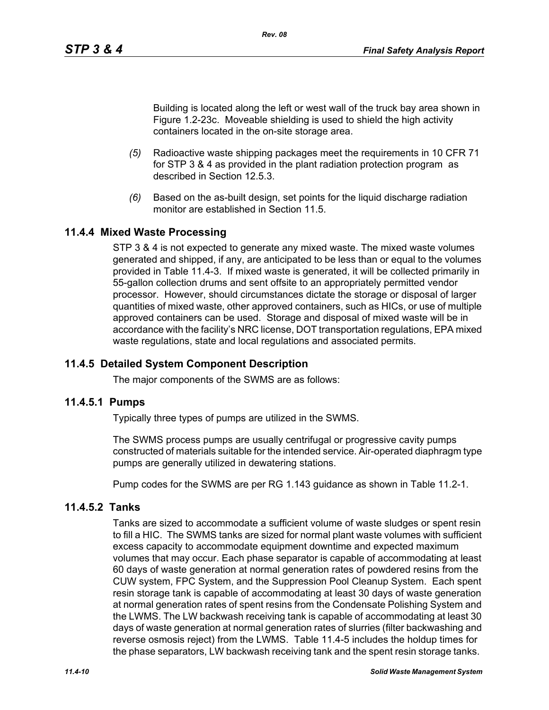Building is located along the left or west wall of the truck bay area shown in Figure 1.2-23c. Moveable shielding is used to shield the high activity containers located in the on-site storage area.

- *(5)* Radioactive waste shipping packages meet the requirements in 10 CFR 71 for STP 3 & 4 as provided in the plant radiation protection program as described in Section 12.5.3.
- *(6)* Based on the as-built design, set points for the liquid discharge radiation monitor are established in Section 11.5

# **11.4.4 Mixed Waste Processing**

STP 3 & 4 is not expected to generate any mixed waste. The mixed waste volumes generated and shipped, if any, are anticipated to be less than or equal to the volumes provided in Table 11.4-3. If mixed waste is generated, it will be collected primarily in 55-gallon collection drums and sent offsite to an appropriately permitted vendor processor. However, should circumstances dictate the storage or disposal of larger quantities of mixed waste, other approved containers, such as HICs, or use of multiple approved containers can be used. Storage and disposal of mixed waste will be in accordance with the facility's NRC license, DOT transportation regulations, EPA mixed waste regulations, state and local regulations and associated permits.

# **11.4.5 Detailed System Component Description**

The major components of the SWMS are as follows:

### **11.4.5.1 Pumps**

Typically three types of pumps are utilized in the SWMS.

The SWMS process pumps are usually centrifugal or progressive cavity pumps constructed of materials suitable for the intended service. Air-operated diaphragm type pumps are generally utilized in dewatering stations.

Pump codes for the SWMS are per RG 1.143 guidance as shown in Table 11.2-1.

## **11.4.5.2 Tanks**

Tanks are sized to accommodate a sufficient volume of waste sludges or spent resin to fill a HIC. The SWMS tanks are sized for normal plant waste volumes with sufficient excess capacity to accommodate equipment downtime and expected maximum volumes that may occur. Each phase separator is capable of accommodating at least 60 days of waste generation at normal generation rates of powdered resins from the CUW system, FPC System, and the Suppression Pool Cleanup System. Each spent resin storage tank is capable of accommodating at least 30 days of waste generation at normal generation rates of spent resins from the Condensate Polishing System and the LWMS. The LW backwash receiving tank is capable of accommodating at least 30 days of waste generation at normal generation rates of slurries (filter backwashing and reverse osmosis reject) from the LWMS. Table 11.4-5 includes the holdup times for the phase separators, LW backwash receiving tank and the spent resin storage tanks.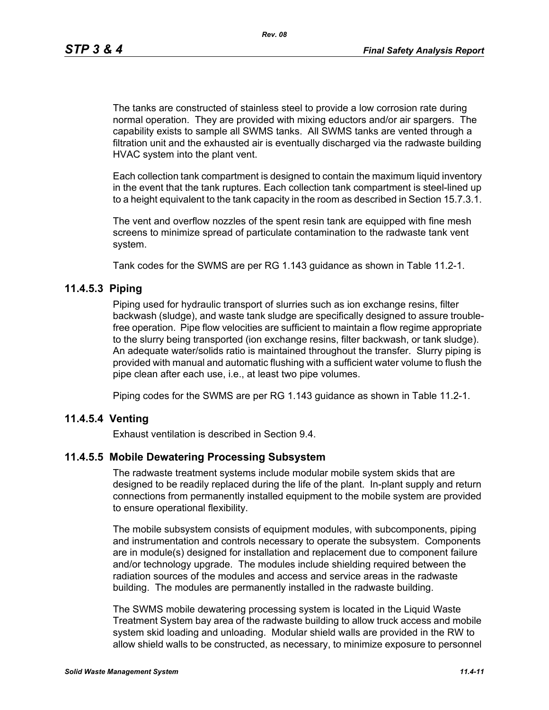The tanks are constructed of stainless steel to provide a low corrosion rate during normal operation. They are provided with mixing eductors and/or air spargers. The capability exists to sample all SWMS tanks. All SWMS tanks are vented through a filtration unit and the exhausted air is eventually discharged via the radwaste building HVAC system into the plant vent.

Each collection tank compartment is designed to contain the maximum liquid inventory in the event that the tank ruptures. Each collection tank compartment is steel-lined up to a height equivalent to the tank capacity in the room as described in Section 15.7.3.1.

The vent and overflow nozzles of the spent resin tank are equipped with fine mesh screens to minimize spread of particulate contamination to the radwaste tank vent system.

Tank codes for the SWMS are per RG 1.143 guidance as shown in Table 11.2-1.

## **11.4.5.3 Piping**

Piping used for hydraulic transport of slurries such as ion exchange resins, filter backwash (sludge), and waste tank sludge are specifically designed to assure troublefree operation. Pipe flow velocities are sufficient to maintain a flow regime appropriate to the slurry being transported (ion exchange resins, filter backwash, or tank sludge). An adequate water/solids ratio is maintained throughout the transfer. Slurry piping is provided with manual and automatic flushing with a sufficient water volume to flush the pipe clean after each use, i.e., at least two pipe volumes.

Piping codes for the SWMS are per RG 1.143 guidance as shown in Table 11.2-1.

# **11.4.5.4 Venting**

Exhaust ventilation is described in Section 9.4.

### **11.4.5.5 Mobile Dewatering Processing Subsystem**

The radwaste treatment systems include modular mobile system skids that are designed to be readily replaced during the life of the plant. In-plant supply and return connections from permanently installed equipment to the mobile system are provided to ensure operational flexibility.

The mobile subsystem consists of equipment modules, with subcomponents, piping and instrumentation and controls necessary to operate the subsystem. Components are in module(s) designed for installation and replacement due to component failure and/or technology upgrade. The modules include shielding required between the radiation sources of the modules and access and service areas in the radwaste building. The modules are permanently installed in the radwaste building.

The SWMS mobile dewatering processing system is located in the Liquid Waste Treatment System bay area of the radwaste building to allow truck access and mobile system skid loading and unloading. Modular shield walls are provided in the RW to allow shield walls to be constructed, as necessary, to minimize exposure to personnel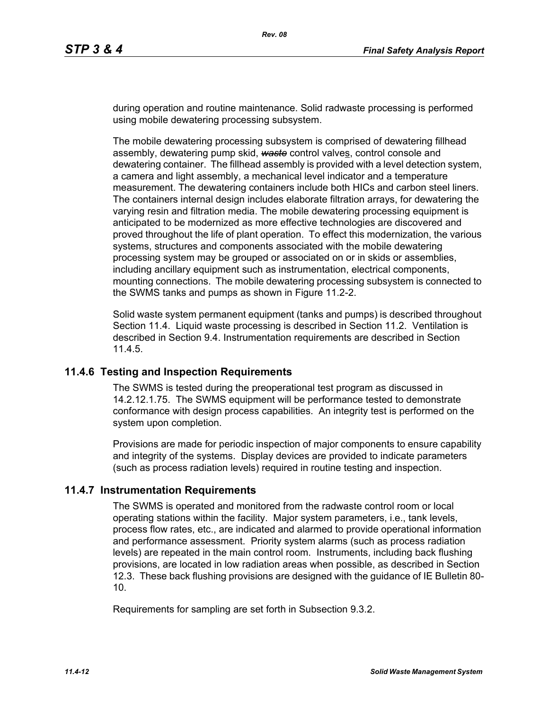during operation and routine maintenance. Solid radwaste processing is performed using mobile dewatering processing subsystem.

The mobile dewatering processing subsystem is comprised of dewatering fillhead assembly, dewatering pump skid, *waste* control valves, control console and dewatering container. The fillhead assembly is provided with a level detection system, a camera and light assembly, a mechanical level indicator and a temperature measurement. The dewatering containers include both HICs and carbon steel liners. The containers internal design includes elaborate filtration arrays, for dewatering the varying resin and filtration media. The mobile dewatering processing equipment is anticipated to be modernized as more effective technologies are discovered and proved throughout the life of plant operation. To effect this modernization, the various systems, structures and components associated with the mobile dewatering processing system may be grouped or associated on or in skids or assemblies, including ancillary equipment such as instrumentation, electrical components, mounting connections. The mobile dewatering processing subsystem is connected to the SWMS tanks and pumps as shown in Figure 11.2-2.

Solid waste system permanent equipment (tanks and pumps) is described throughout Section 11.4. Liquid waste processing is described in Section 11.2. Ventilation is described in Section 9.4. Instrumentation requirements are described in Section 11.4.5.

### **11.4.6 Testing and Inspection Requirements**

The SWMS is tested during the preoperational test program as discussed in 14.2.12.1.75. The SWMS equipment will be performance tested to demonstrate conformance with design process capabilities. An integrity test is performed on the system upon completion.

Provisions are made for periodic inspection of major components to ensure capability and integrity of the systems. Display devices are provided to indicate parameters (such as process radiation levels) required in routine testing and inspection.

### **11.4.7 Instrumentation Requirements**

The SWMS is operated and monitored from the radwaste control room or local operating stations within the facility. Major system parameters, i.e., tank levels, process flow rates, etc., are indicated and alarmed to provide operational information and performance assessment. Priority system alarms (such as process radiation levels) are repeated in the main control room. Instruments, including back flushing provisions, are located in low radiation areas when possible, as described in Section 12.3. These back flushing provisions are designed with the guidance of IE Bulletin 80- 10.

Requirements for sampling are set forth in Subsection 9.3.2.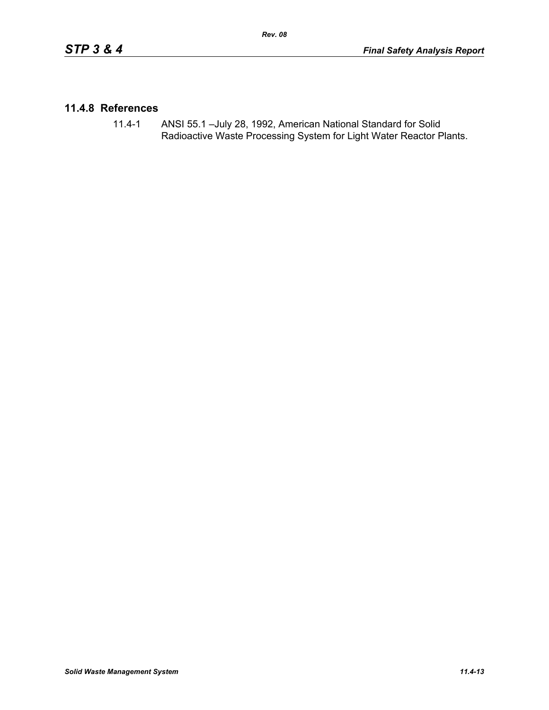## **11.4.8 References**

11.4-1 ANSI 55.1 –July 28, 1992, American National Standard for Solid Radioactive Waste Processing System for Light Water Reactor Plants.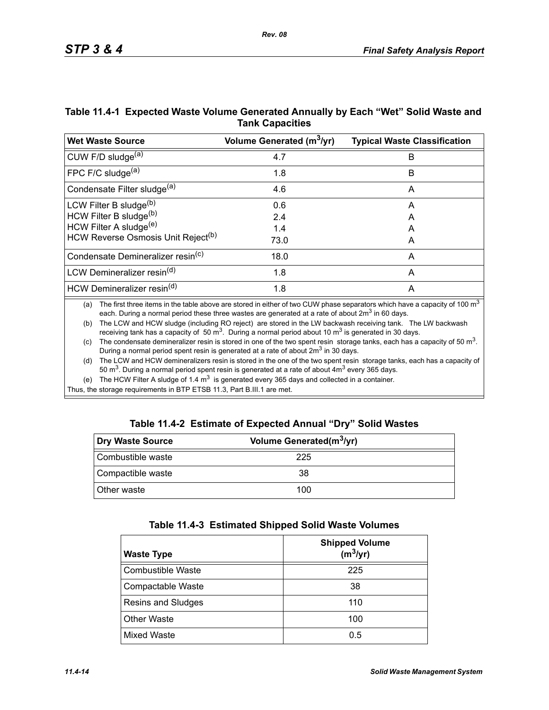| Table 11.4-1 Expected Waste Volume Generated Annually by Each "Wet" Solid Waste and |
|-------------------------------------------------------------------------------------|
| <b>Tank Capacities</b>                                                              |

| <b>Wet Waste Source</b>                        | Volume Generated (m <sup>3</sup> /yr) | <b>Typical Waste Classification</b> |
|------------------------------------------------|---------------------------------------|-------------------------------------|
| CUW F/D sludge <sup>(a)</sup>                  | 4.7                                   | B                                   |
| FPC F/C sludge $(a)$                           | 1.8                                   | B                                   |
| Condensate Filter sludge <sup>(a)</sup>        | 4.6                                   | A                                   |
| LCW Filter B sludge <sup>(b)</sup>             | 0.6                                   | A                                   |
| HCW Filter B sludge(b)                         | 2.4                                   | A                                   |
| HCW Filter A sludge <sup>(e)</sup>             | 1.4                                   | A                                   |
| HCW Reverse Osmosis Unit Reject <sup>(b)</sup> | 73.0                                  | A                                   |
| Condensate Demineralizer resin <sup>(c)</sup>  | 18.0                                  | A                                   |
| LCW Demineralizer resin <sup>(d)</sup>         | 1.8                                   | A                                   |
| HCW Demineralizer resin <sup>(d)</sup>         | 1.8                                   | A                                   |

(a) The first three items in the table above are stored in either of two CUW phase separators which have a capacity of 100  $m<sup>3</sup>$ each. During a normal period these three wastes are generated at a rate of about  $2m<sup>3</sup>$  in 60 days.

(b) The LCW and HCW sludge (including RO reject) are stored in the LW backwash receiving tank. The LW backwash receiving tank has a capacity of 50  $\text{m}^3$ . During a normal period about 10  $\text{m}^3$  is generated in 30 days.

(c) The condensate demineralizer resin is stored in one of the two spent resin storage tanks, each has a capacity of 50  $m<sup>3</sup>$ . During a normal period spent resin is generated at a rate of about 2m<sup>3</sup> in 30 days.

(d) The LCW and HCW demineralizers resin is stored in the one of the two spent resin storage tanks, each has a capacity of 50 m<sup>3</sup>. During a normal period spent resin is generated at a rate of about  $4m<sup>3</sup>$  every 365 days.

(e) The HCW Filter A sludge of 1.4  $m<sup>3</sup>$  is generated every 365 days and collected in a container.

Thus, the storage requirements in BTP ETSB 11.3, Part B.III.1 are met.

|  | Table 11.4-2 Estimate of Expected Annual "Dry" Solid Wastes |  |  |  |
|--|-------------------------------------------------------------|--|--|--|
|--|-------------------------------------------------------------|--|--|--|

| Dry Waste Source  | Volume Generated(m <sup>3</sup> /yr) |  |
|-------------------|--------------------------------------|--|
| Combustible waste | 225                                  |  |
| Compactible waste | 38                                   |  |
| Other waste       | 100                                  |  |

| Table 11.4-3 Estimated Shipped Solid Waste Volumes |  |  |  |  |  |
|----------------------------------------------------|--|--|--|--|--|
|----------------------------------------------------|--|--|--|--|--|

| <b>Waste Type</b>         | <b>Shipped Volume</b><br>$(m^3/yr)$ |
|---------------------------|-------------------------------------|
| <b>Combustible Waste</b>  | 225                                 |
| Compactable Waste         | 38                                  |
| <b>Resins and Sludges</b> | 110                                 |
| <b>Other Waste</b>        | 100                                 |
| <b>Mixed Waste</b>        | 0.5                                 |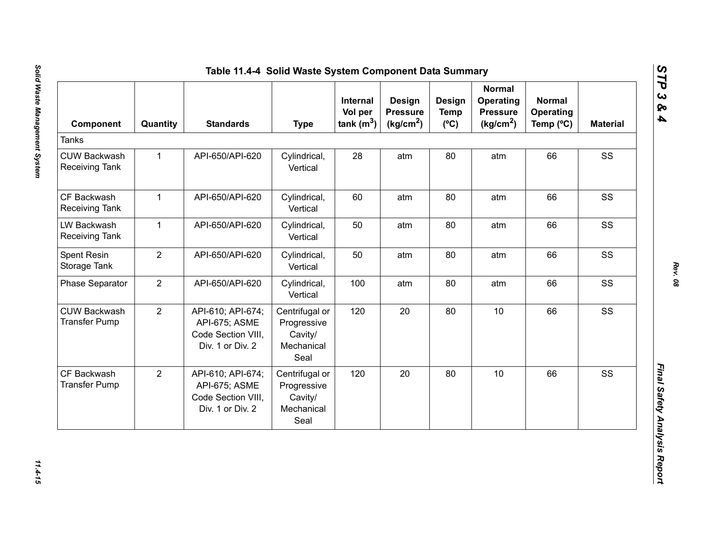| Component                                    | Quantity       | <b>Standards</b>                                                             | <b>Type</b>                                                    | Internal<br>Vol per<br>tank $(m^3)$ | <b>Design</b><br><b>Pressure</b><br>(kg/cm <sup>2</sup> ) | Design<br><b>Temp</b><br>$(^{\circ}C)$ | <b>Normal</b><br><b>Operating</b><br><b>Pressure</b><br>(kg/cm <sup>2</sup> ) | <b>Normal</b><br>Operating<br>Temp (°C) | <b>Material</b> |
|----------------------------------------------|----------------|------------------------------------------------------------------------------|----------------------------------------------------------------|-------------------------------------|-----------------------------------------------------------|----------------------------------------|-------------------------------------------------------------------------------|-----------------------------------------|-----------------|
| <b>Tanks</b>                                 |                |                                                                              |                                                                |                                     |                                                           |                                        |                                                                               |                                         |                 |
| <b>CUW Backwash</b><br><b>Receiving Tank</b> | $\mathbf{1}$   | API-650/API-620                                                              | Cylindrical,<br>Vertical                                       | 28                                  | atm                                                       | 80                                     | atm                                                                           | 66                                      | SS              |
| CF Backwash<br><b>Receiving Tank</b>         | $\mathbf{1}$   | API-650/API-620                                                              | Cylindrical,<br>Vertical                                       | 60                                  | atm                                                       | 80                                     | atm                                                                           | 66                                      | SS              |
| LW Backwash<br><b>Receiving Tank</b>         | $\mathbf{1}$   | API-650/API-620                                                              | Cylindrical,<br>Vertical                                       | 50                                  | atm                                                       | 80                                     | atm                                                                           | 66                                      | SS              |
| Spent Resin<br>Storage Tank                  | $\overline{2}$ | API-650/API-620                                                              | Cylindrical,<br>Vertical                                       | 50                                  | atm                                                       | 80                                     | atm                                                                           | 66                                      | SS              |
| <b>Phase Separator</b>                       | $\overline{2}$ | API-650/API-620                                                              | Cylindrical,<br>Vertical                                       | 100                                 | atm                                                       | 80                                     | atm                                                                           | 66                                      | SS              |
| <b>CUW Backwash</b><br><b>Transfer Pump</b>  | $\overline{2}$ | API-610; API-674;<br>API-675; ASME<br>Code Section VIII,<br>Div. 1 or Div. 2 | Centrifugal or<br>Progressive<br>Cavity/<br>Mechanical<br>Seal | 120                                 | 20                                                        | 80                                     | 10                                                                            | 66                                      | SS              |
| CF Backwash<br><b>Transfer Pump</b>          | $\overline{2}$ | API-610; API-674;<br>API-675; ASME<br>Code Section VIII,<br>Div. 1 or Div. 2 | Centrifugal or<br>Progressive<br>Cavity/<br>Mechanical<br>Seal | 120                                 | 20                                                        | 80                                     | 10                                                                            | 66                                      | SS              |

*STP 3 & 4*

11.4-15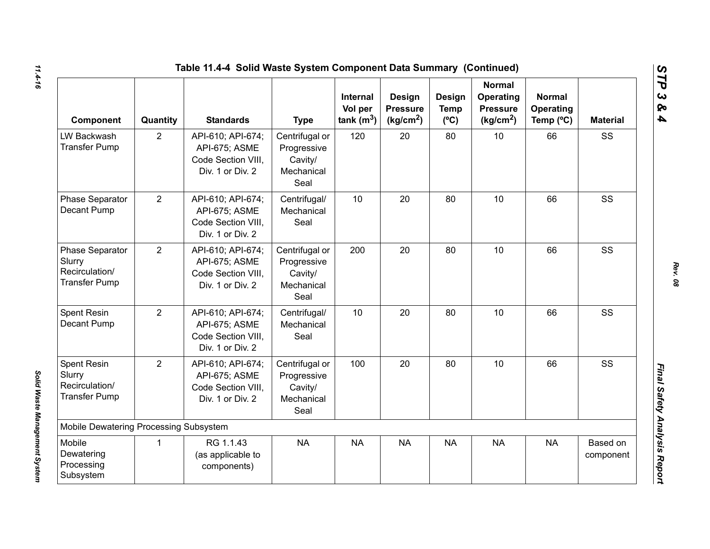|                                                                        |                | Table 11.4-4 Solid Waste System Component Data Summary (Continued)           |                                                                |                                            |                                                    |                                               |                                                                        |                                                  |                       |
|------------------------------------------------------------------------|----------------|------------------------------------------------------------------------------|----------------------------------------------------------------|--------------------------------------------|----------------------------------------------------|-----------------------------------------------|------------------------------------------------------------------------|--------------------------------------------------|-----------------------|
| Component                                                              | Quantity       | <b>Standards</b>                                                             | <b>Type</b>                                                    | <b>Internal</b><br>Vol per<br>tank $(m^3)$ | Design<br><b>Pressure</b><br>(kg/cm <sup>2</sup> ) | <b>Design</b><br><b>Temp</b><br>$(^{\circ}C)$ | <b>Normal</b><br>Operating<br><b>Pressure</b><br>(kg/cm <sup>2</sup> ) | <b>Normal</b><br>Operating<br>Temp $(^{\circ}C)$ | <b>Material</b>       |
| LW Backwash<br><b>Transfer Pump</b>                                    | $\overline{2}$ | API-610; API-674;<br>API-675; ASME<br>Code Section VIII,<br>Div. 1 or Div. 2 | Centrifugal or<br>Progressive<br>Cavity/<br>Mechanical<br>Seal | 120                                        | 20                                                 | 80                                            | 10                                                                     | 66                                               | SS                    |
| Phase Separator<br>Decant Pump                                         | $\overline{2}$ | API-610; API-674;<br>API-675; ASME<br>Code Section VIII,<br>Div. 1 or Div. 2 | Centrifugal/<br>Mechanical<br>Seal                             | 10                                         | 20                                                 | 80                                            | 10                                                                     | 66                                               | SS                    |
| Phase Separator<br>Slurry<br>Recirculation/<br><b>Transfer Pump</b>    | $\overline{2}$ | API-610; API-674;<br>API-675; ASME<br>Code Section VIII,<br>Div. 1 or Div. 2 | Centrifugal or<br>Progressive<br>Cavity/<br>Mechanical<br>Seal | 200                                        | 20                                                 | 80                                            | 10                                                                     | 66                                               | SS                    |
| Spent Resin<br>Decant Pump                                             | $\overline{2}$ | API-610; API-674;<br>API-675; ASME<br>Code Section VIII.<br>Div. 1 or Div. 2 | Centrifugal/<br>Mechanical<br>Seal                             | 10                                         | 20                                                 | 80                                            | 10                                                                     | 66                                               | SS                    |
| <b>Spent Resin</b><br>Slurry<br>Recirculation/<br><b>Transfer Pump</b> | $\overline{2}$ | API-610; API-674;<br>API-675; ASME<br>Code Section VIII.<br>Div. 1 or Div. 2 | Centrifugal or<br>Progressive<br>Cavity/<br>Mechanical<br>Seal | 100                                        | 20                                                 | 80                                            | 10                                                                     | 66                                               | SS                    |
| Mobile Dewatering Processing Subsystem                                 |                |                                                                              |                                                                |                                            |                                                    |                                               |                                                                        |                                                  |                       |
| Mobile<br>Dewatering<br>Processing<br>Subsystem                        | $\mathbf 1$    | RG 1.1.43<br>(as applicable to<br>components)                                | <b>NA</b>                                                      | <b>NA</b>                                  | <b>NA</b>                                          | <b>NA</b>                                     | <b>NA</b>                                                              | <b>NA</b>                                        | Based on<br>component |

*Solid Waste Management System* 

Solid Waste Management System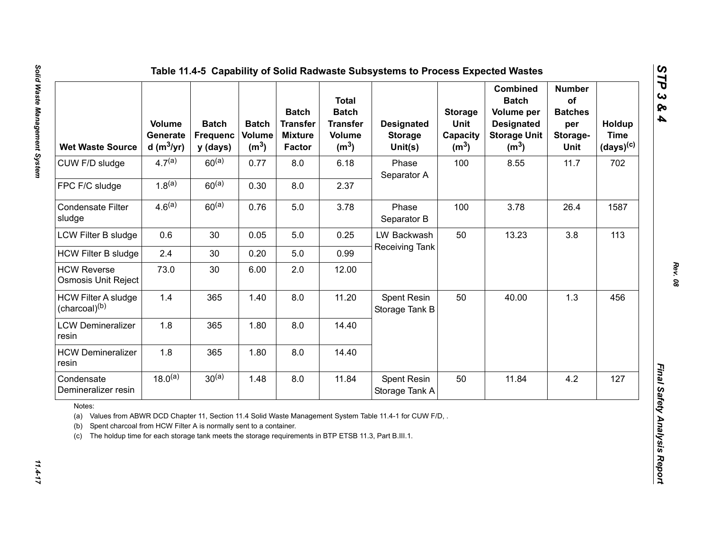| <b>Wet Waste Source</b>                                                                                                                                                                                  | <b>Volume</b><br>Generate<br>d (m $3$ /yr) | <b>Batch</b><br><b>Frequenc</b><br>y (days) | <b>Batch</b><br>Volume<br>(m <sup>3</sup> ) | <b>Batch</b><br><b>Transfer</b><br><b>Mixture</b><br><b>Factor</b> | <b>Total</b><br><b>Batch</b><br><b>Transfer</b><br><b>Volume</b><br>(m <sup>3</sup> ) | <b>Designated</b><br><b>Storage</b><br>Unit(s)                                                          | <b>Storage</b><br>Unit<br>Capacity<br>(m <sup>3</sup> ) | <b>Combined</b><br><b>Batch</b><br>Volume per<br><b>Designated</b><br><b>Storage Unit</b><br>(m <sup>3</sup> ) | <b>Number</b><br>of<br><b>Batches</b><br>per<br>Storage-<br>Unit | Holdup<br><b>Time</b><br>$(days)^{(c)}$ |
|----------------------------------------------------------------------------------------------------------------------------------------------------------------------------------------------------------|--------------------------------------------|---------------------------------------------|---------------------------------------------|--------------------------------------------------------------------|---------------------------------------------------------------------------------------|---------------------------------------------------------------------------------------------------------|---------------------------------------------------------|----------------------------------------------------------------------------------------------------------------|------------------------------------------------------------------|-----------------------------------------|
| CUW F/D sludge                                                                                                                                                                                           | $4.7^{(a)}$                                | $60^{(a)}$                                  | 0.77                                        | 8.0                                                                | 6.18                                                                                  | Phase<br>Separator A                                                                                    | 100                                                     | 8.55                                                                                                           | 11.7                                                             | 702                                     |
| FPC F/C sludge                                                                                                                                                                                           | $1.8^{(a)}$                                | $60^{(a)}$                                  | 0.30                                        | 8.0                                                                | 2.37                                                                                  |                                                                                                         |                                                         |                                                                                                                |                                                                  |                                         |
| <b>Condensate Filter</b><br>sludge                                                                                                                                                                       | 4.6 <sup>(a)</sup>                         | $60^{(a)}$                                  | 0.76                                        | 5.0                                                                | 3.78                                                                                  | Phase<br>Separator B                                                                                    | 100                                                     | 3.78                                                                                                           | 26.4                                                             | 1587                                    |
| LCW Filter B sludge                                                                                                                                                                                      | 0.6                                        | 30                                          | 0.05                                        | 5.0                                                                | 0.25                                                                                  | LW Backwash                                                                                             | 50                                                      | 13.23                                                                                                          | 3.8                                                              | 113                                     |
| <b>HCW Filter B sludge</b>                                                                                                                                                                               | 2.4                                        | 30                                          | 0.20                                        | 5.0                                                                | 0.99                                                                                  | Receiving Tank                                                                                          |                                                         |                                                                                                                |                                                                  |                                         |
| <b>HCW Reverse</b><br>Osmosis Unit Reject                                                                                                                                                                | 73.0                                       | 30                                          | 6.00                                        | 2.0                                                                | 12.00                                                                                 |                                                                                                         |                                                         |                                                                                                                |                                                                  |                                         |
| <b>HCW Filter A sludge</b><br>(charcoal) <sup>(b)</sup>                                                                                                                                                  | 1.4                                        | 365                                         | 1.40                                        | 8.0                                                                | 11.20                                                                                 | Spent Resin<br>Storage Tank B                                                                           | 50                                                      | 40.00                                                                                                          | 1.3                                                              | 456                                     |
| <b>LCW Demineralizer</b><br>resin                                                                                                                                                                        | 1.8                                        | 365                                         | 1.80                                        | 8.0                                                                | 14.40                                                                                 |                                                                                                         |                                                         |                                                                                                                |                                                                  |                                         |
| <b>HCW Demineralizer</b><br>resin                                                                                                                                                                        | 1.8                                        | 365                                         | 1.80                                        | 8.0                                                                | 14.40                                                                                 |                                                                                                         |                                                         |                                                                                                                |                                                                  |                                         |
| Condensate<br>Demineralizer resin                                                                                                                                                                        | $18.0^{(a)}$                               | $30^{(a)}$                                  | 1.48                                        | 8.0                                                                | 11.84                                                                                 | Spent Resin<br>Storage Tank A                                                                           | 50                                                      | 11.84                                                                                                          | 4.2                                                              | 127                                     |
| Notes:<br>(a)<br>Spent charcoal from HCW Filter A is normally sent to a container.<br>(b)<br>The holdup time for each storage tank meets the storage requirements in BTP ETSB 11.3, Part B.III.1.<br>(c) |                                            |                                             |                                             |                                                                    |                                                                                       | Values from ABWR DCD Chapter 11, Section 11.4 Solid Waste Management System Table 11.4-1 for CUW F/D, . |                                                         |                                                                                                                |                                                                  |                                         |

 $11.4 - 17$ 

*Rev. 08*

*STP 3 & 4*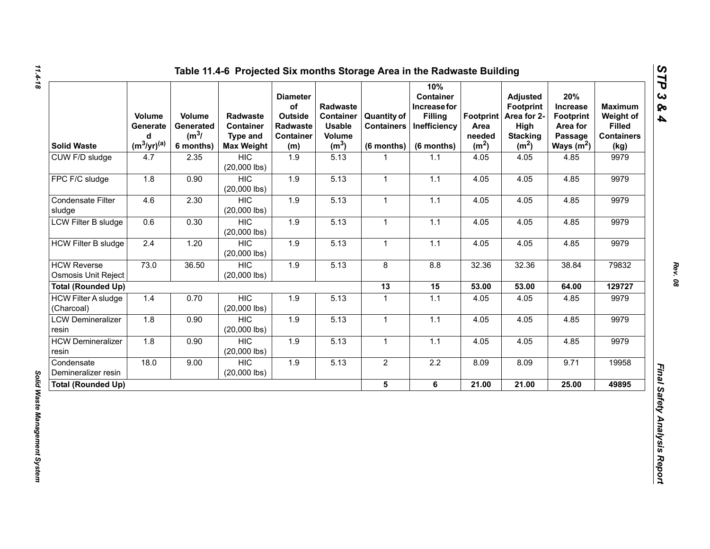| <b>Solid Waste</b>                               | Volume<br>Generate<br>d<br>$(m^3/yr)^{(a)}$ | Volume<br>Generated<br>$(m^3)$<br>6 months) | <b>Radwaste</b><br>Container<br><b>Type and</b><br><b>Max Weight</b> | <b>Diameter</b><br>of<br>Outside<br>Radwaste<br><b>Container</b><br>(m) | Radwaste<br><b>Container</b><br><b>Usable</b><br>Volume<br>(m <sup>3</sup> ) | <b>Quantity of</b><br><b>Containers</b><br>$(6$ months) | 10%<br><b>Container</b><br>Increase for<br><b>Filling</b><br>Inefficiency<br>(6 months) | Footprint  <br>Area<br>needed<br>(m <sup>2</sup> ) | <b>Adjusted</b><br><b>Footprint</b><br>Area for 2-<br>High<br><b>Stacking</b><br>(m <sup>2</sup> ) | 20%<br>Increase<br><b>Footprint</b><br>Area for<br>Passage<br>Ways $(m^2)$ | <b>Maximum</b><br>Weight of<br><b>Filled</b><br><b>Containers</b><br>(kg) |
|--------------------------------------------------|---------------------------------------------|---------------------------------------------|----------------------------------------------------------------------|-------------------------------------------------------------------------|------------------------------------------------------------------------------|---------------------------------------------------------|-----------------------------------------------------------------------------------------|----------------------------------------------------|----------------------------------------------------------------------------------------------------|----------------------------------------------------------------------------|---------------------------------------------------------------------------|
| CUW F/D sludge                                   | 4.7                                         | 2.35                                        | <b>HIC</b><br>$(20,000$ lbs)                                         | 1.9                                                                     | 5.13                                                                         |                                                         | 1.1                                                                                     | 4.05                                               | 4.05                                                                                               | 4.85                                                                       | 9979                                                                      |
| FPC F/C sludge                                   | 1.8                                         | 0.90                                        | <b>HIC</b><br>$(20,000$ lbs)                                         | 1.9                                                                     | 5.13                                                                         | $\mathbf{1}$                                            | 1.1                                                                                     | 4.05                                               | 4.05                                                                                               | 4.85                                                                       | 9979                                                                      |
| Condensate Filter<br>sludge                      | 4.6                                         | 2.30                                        | <b>HIC</b><br>$(20,000$ lbs)                                         | 1.9                                                                     | 5.13                                                                         | $\mathbf{1}$                                            | 1.1                                                                                     | 4.05                                               | 4.05                                                                                               | 4.85                                                                       | 9979                                                                      |
| LCW Filter B sludge                              | 0.6                                         | 0.30                                        | <b>HIC</b><br>$(20,000$ lbs)                                         | 1.9                                                                     | 5.13                                                                         | $\mathbf{1}$                                            | $1.1$                                                                                   | 4.05                                               | 4.05                                                                                               | 4.85                                                                       | 9979                                                                      |
| <b>HCW Filter B sludge</b>                       | 2.4                                         | 1.20                                        | <b>HIC</b><br>$(20,000$ lbs)                                         | 1.9                                                                     | 5.13                                                                         | $\mathbf{1}$                                            | 1.1                                                                                     | 4.05                                               | 4.05                                                                                               | 4.85                                                                       | 9979                                                                      |
| <b>HCW Reverse</b><br><b>Osmosis Unit Reject</b> | 73.0                                        | 36.50                                       | <b>HIC</b><br>$(20,000$ lbs)                                         | 1.9                                                                     | 5.13                                                                         | 8                                                       | 8.8                                                                                     | 32.36                                              | 32.36                                                                                              | 38.84                                                                      | 79832                                                                     |
| <b>Total (Rounded Up)</b>                        |                                             |                                             |                                                                      |                                                                         |                                                                              | 13                                                      | 15                                                                                      | 53.00                                              | 53.00                                                                                              | 64.00                                                                      | 129727                                                                    |
| <b>HCW Filter A sludge</b><br>(Charcoal)         | 1.4                                         | 0.70                                        | <b>HIC</b><br>$(20,000$ lbs)                                         | 1.9                                                                     | 5.13                                                                         | $\mathbf{1}$                                            | $1.1$                                                                                   | 4.05                                               | 4.05                                                                                               | 4.85                                                                       | 9979                                                                      |
| <b>LCW Demineralizer</b><br>resin                | 1.8                                         | 0.90                                        | <b>HIC</b><br>$(20,000$ lbs)                                         | 1.9                                                                     | 5.13                                                                         | $\mathbf{1}$                                            | 1.1                                                                                     | 4.05                                               | 4.05                                                                                               | 4.85                                                                       | 9979                                                                      |
| <b>HCW Demineralizer</b><br>resin                | 1.8                                         | 0.90                                        | <b>HIC</b><br>$(20,000$ lbs)                                         | 1.9                                                                     | 5.13                                                                         | 1                                                       | 1.1                                                                                     | 4.05                                               | 4.05                                                                                               | 4.85                                                                       | 9979                                                                      |
| Condensate<br>Demineralizer resin                | 18.0                                        | 9.00                                        | <b>HIC</b><br>$(20,000$ lbs)                                         | $1.9$                                                                   | 5.13                                                                         | $\mathbf{2}$                                            | $2.2\,$                                                                                 | 8.09                                               | 8.09                                                                                               | 9.71                                                                       | 19958                                                                     |
| <b>Total (Rounded Up)</b>                        |                                             |                                             |                                                                      |                                                                         |                                                                              | 5 <sup>5</sup>                                          | 6                                                                                       | 21.00                                              | 21.00                                                                                              | 25.00                                                                      | 49895                                                                     |

*STP 3 & 4*